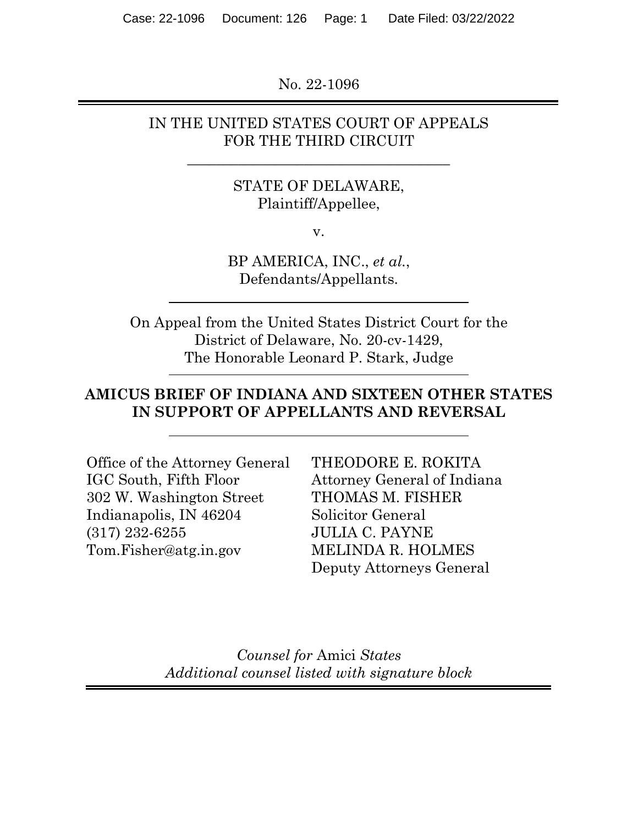No. 22-1096

### IN THE UNITED STATES COURT OF APPEALS FOR THE THIRD CIRCUIT

**\_\_\_\_\_\_\_\_\_\_\_\_\_\_\_\_\_\_\_\_\_\_\_\_\_\_\_\_\_\_\_\_\_\_\_\_**

## STATE OF DELAWARE, Plaintiff/Appellee,

v.

BP AMERICA, INC., *et al.*, Defendants/Appellants.

On Appeal from the United States District Court for the District of Delaware, No. 20-cv-1429, The Honorable Leonard P. Stark, Judge

## **AMICUS BRIEF OF INDIANA AND SIXTEEN OTHER STATES IN SUPPORT OF APPELLANTS AND REVERSAL**

Office of the Attorney General IGC South, Fifth Floor 302 W. Washington Street Indianapolis, IN 46204 (317) 232-6255 Tom.Fisher@atg.in.gov

THEODORE E. ROKITA Attorney General of Indiana THOMAS M. FISHER Solicitor General JULIA C. PAYNE MELINDA R. HOLMES Deputy Attorneys General

*Counsel for* Amici *States Additional counsel listed with signature block*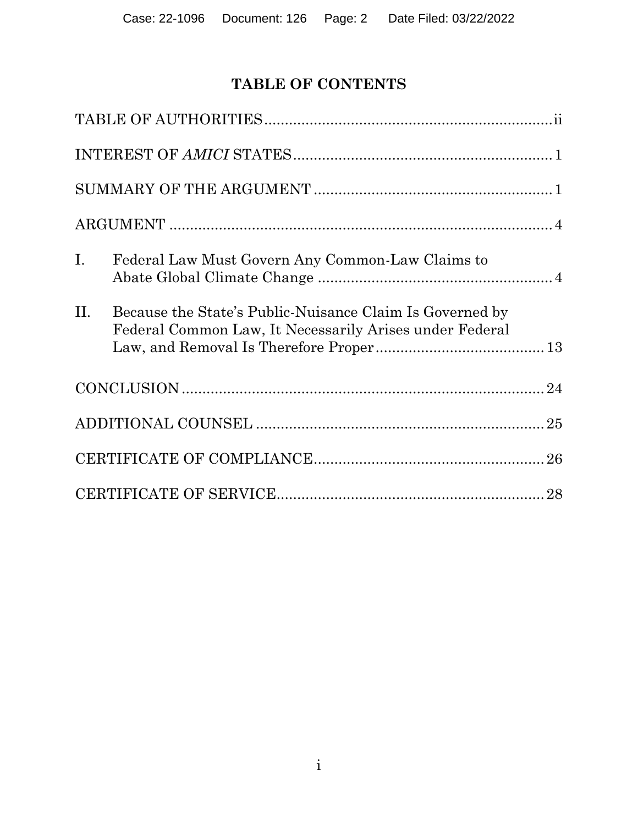# **TABLE OF CONTENTS**

| $\mathbf{I}$ . | Federal Law Must Govern Any Common-Law Claims to                                                                    |
|----------------|---------------------------------------------------------------------------------------------------------------------|
| II.            | Because the State's Public-Nuisance Claim Is Governed by<br>Federal Common Law, It Necessarily Arises under Federal |
|                |                                                                                                                     |
|                |                                                                                                                     |
|                |                                                                                                                     |
|                |                                                                                                                     |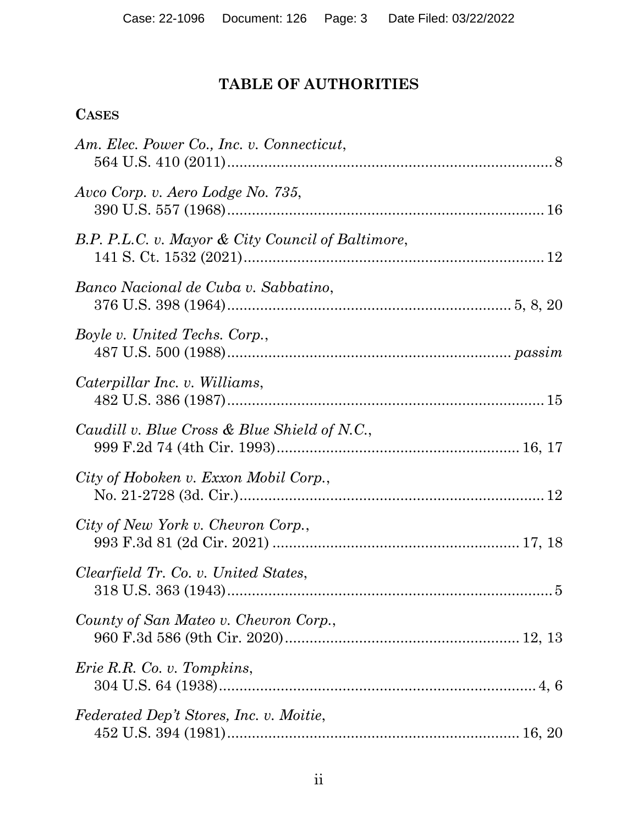# **TABLE OF AUTHORITIES**

## **CASES**

| Am. Elec. Power Co., Inc. v. Connecticut,         |  |
|---------------------------------------------------|--|
| Avco Corp. v. Aero Lodge No. 735,                 |  |
| B.P. P.L.C. v. Mayor & City Council of Baltimore, |  |
| Banco Nacional de Cuba v. Sabbatino,              |  |
| Boyle v. United Techs. Corp.,                     |  |
| Caterpillar Inc. v. Williams,                     |  |
| Caudill v. Blue Cross & Blue Shield of N.C.,      |  |
| City of Hoboken v. Exxon Mobil Corp.,             |  |
| City of New York v. Chevron Corp.,                |  |
| Clearfield Tr. Co. v. United States,              |  |
| County of San Mateo v. Chevron Corp.,             |  |
| <i>Erie R.R. Co. v. Tompkins,</i>                 |  |
| Federated Dep't Stores, Inc. v. Moitie,           |  |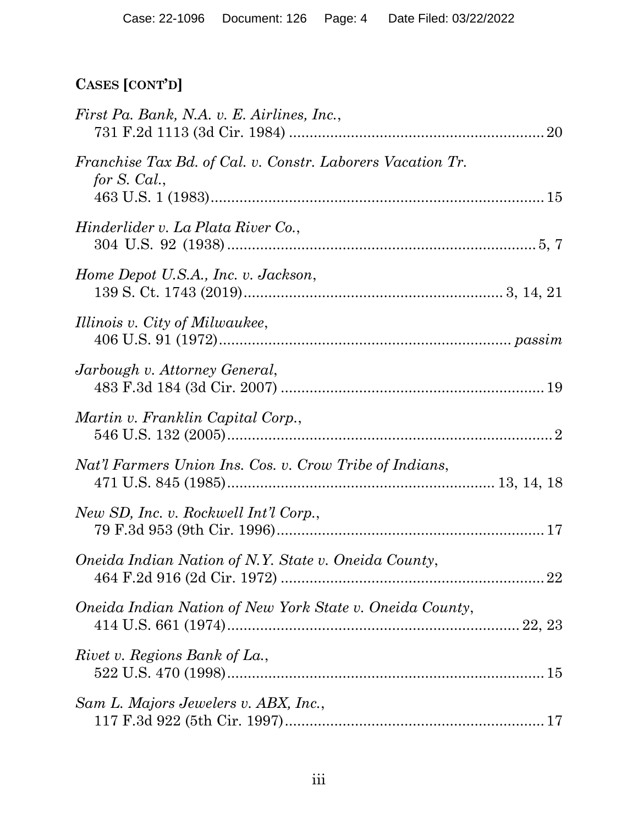# **CASES [CONT'D]**

| First Pa. Bank, N.A. v. E. Airlines, Inc.,                                 |  |
|----------------------------------------------------------------------------|--|
| Franchise Tax Bd. of Cal. v. Constr. Laborers Vacation Tr.<br>for S. Cal., |  |
| Hinderlider v. La Plata River Co.,                                         |  |
| Home Depot U.S.A., Inc. v. Jackson,                                        |  |
| Illinois v. City of Milwaukee,                                             |  |
| Jarbough v. Attorney General,                                              |  |
| Martin v. Franklin Capital Corp.,                                          |  |
| Nat'l Farmers Union Ins. Cos. v. Crow Tribe of Indians,                    |  |
| New SD, Inc. v. Rockwell Int'l Corp.,                                      |  |
| Oneida Indian Nation of N.Y. State v. Oneida County,                       |  |
| Oneida Indian Nation of New York State v. Oneida County,                   |  |
| Rivet v. Regions Bank of La.,                                              |  |
| Sam L. Majors Jewelers v. ABX, Inc.,                                       |  |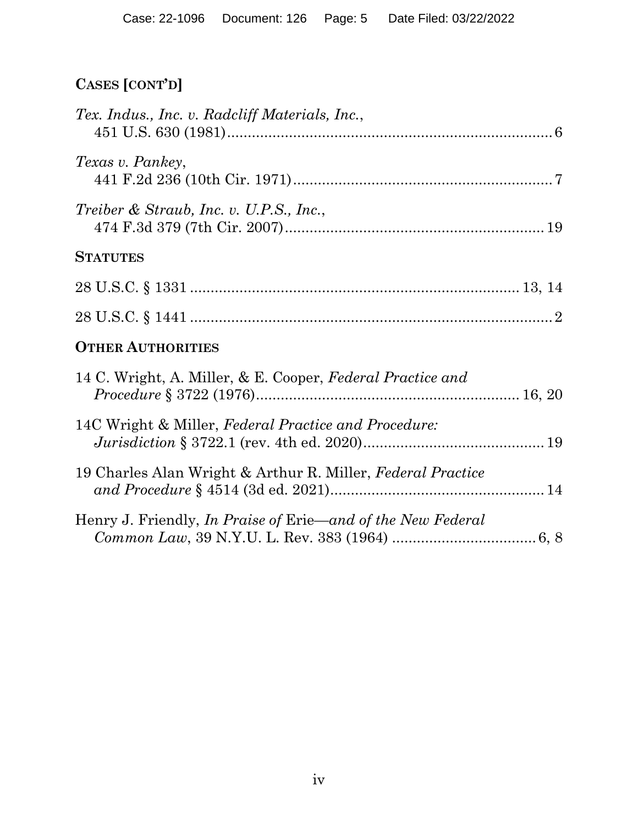# **CASES [CONT'D]**

| Tex. Indus., Inc. v. Radcliff Materials, Inc.,                     |  |
|--------------------------------------------------------------------|--|
| Texas v. Pankey,                                                   |  |
| Treiber & Straub, Inc. v. U.P.S., Inc.,                            |  |
| <b>STATUTES</b>                                                    |  |
|                                                                    |  |
|                                                                    |  |
| <b>OTHER AUTHORITIES</b>                                           |  |
| 14 C. Wright, A. Miller, & E. Cooper, Federal Practice and         |  |
| 14C Wright & Miller, Federal Practice and Procedure:               |  |
| 19 Charles Alan Wright & Arthur R. Miller, Federal Practice        |  |
| Henry J. Friendly, <i>In Praise of Erie—and of the New Federal</i> |  |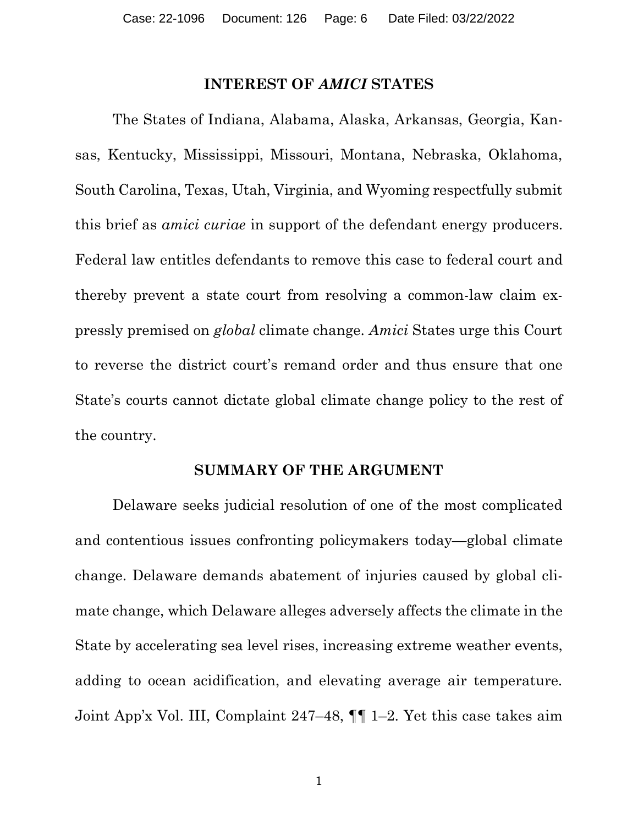#### **INTEREST OF** *AMICI* **STATES**

The States of Indiana, Alabama, Alaska, Arkansas, Georgia, Kansas, Kentucky, Mississippi, Missouri, Montana, Nebraska, Oklahoma, South Carolina, Texas, Utah, Virginia, and Wyoming respectfully submit this brief as *amici curiae* in support of the defendant energy producers. Federal law entitles defendants to remove this case to federal court and thereby prevent a state court from resolving a common-law claim expressly premised on *global* climate change. *Amici* States urge this Court to reverse the district court's remand order and thus ensure that one State's courts cannot dictate global climate change policy to the rest of the country.

#### **SUMMARY OF THE ARGUMENT**

Delaware seeks judicial resolution of one of the most complicated and contentious issues confronting policymakers today—global climate change. Delaware demands abatement of injuries caused by global climate change, which Delaware alleges adversely affects the climate in the State by accelerating sea level rises, increasing extreme weather events, adding to ocean acidification, and elevating average air temperature. Joint App'x Vol. III, Complaint 247–48, ¶¶ 1–2. Yet this case takes aim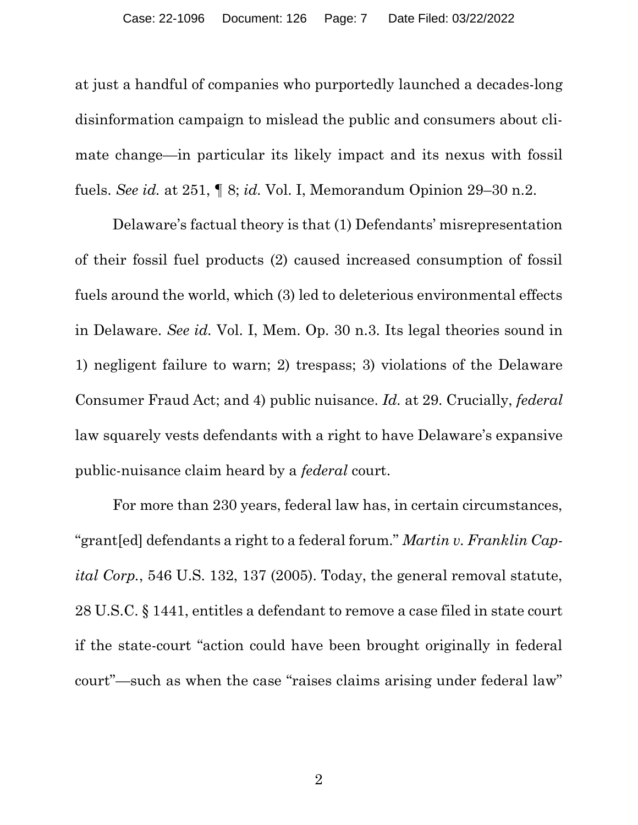at just a handful of companies who purportedly launched a decades-long disinformation campaign to mislead the public and consumers about climate change—in particular its likely impact and its nexus with fossil fuels. *See id.* at 251, ¶ 8; *id.* Vol. I, Memorandum Opinion 29–30 n.2.

Delaware's factual theory is that (1) Defendants' misrepresentation of their fossil fuel products (2) caused increased consumption of fossil fuels around the world, which (3) led to deleterious environmental effects in Delaware. *See id.* Vol. I, Mem. Op. 30 n.3. Its legal theories sound in 1) negligent failure to warn; 2) trespass; 3) violations of the Delaware Consumer Fraud Act; and 4) public nuisance. *Id.* at 29. Crucially, *federal* law squarely vests defendants with a right to have Delaware's expansive public-nuisance claim heard by a *federal* court.

<span id="page-6-1"></span><span id="page-6-0"></span>For more than 230 years, federal law has, in certain circumstances, "grant[ed] defendants a right to a federal forum." *Martin v. Franklin Capital Corp.*, 546 U.S. 132, 137 (2005). Today, the general removal statute, 28 U.S.C. § 1441, entitles a defendant to remove a case filed in state court if the state-court "action could have been brought originally in federal court"—such as when the case "raises claims arising under federal law"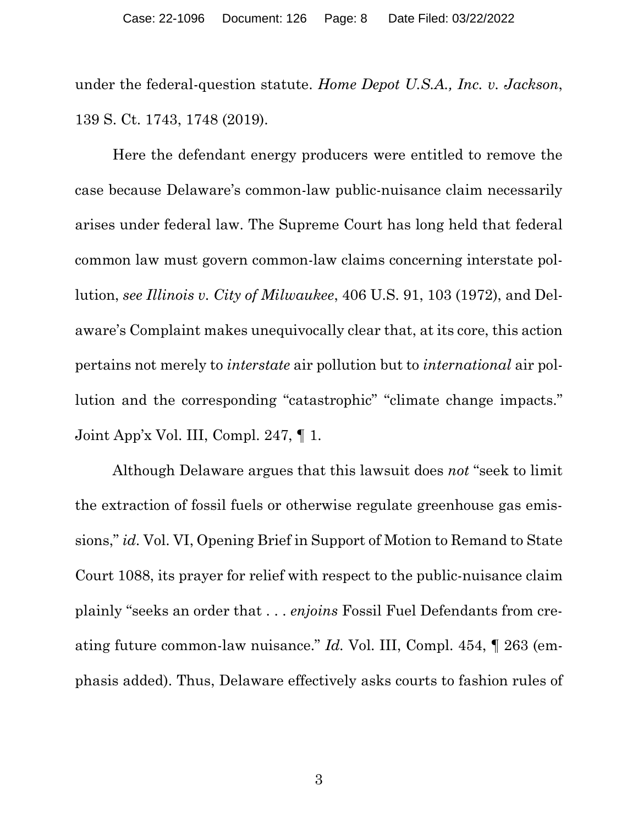<span id="page-7-0"></span>under the federal-question statute. *Home Depot U.S.A., Inc. v. Jackson*, 139 S. Ct. 1743, 1748 (2019).

<span id="page-7-1"></span>Here the defendant energy producers were entitled to remove the case because Delaware's common-law public-nuisance claim necessarily arises under federal law. The Supreme Court has long held that federal common law must govern common-law claims concerning interstate pollution, *see Illinois v. City of Milwaukee*, 406 U.S. 91, 103 (1972), and Delaware's Complaint makes unequivocally clear that, at its core, this action pertains not merely to *interstate* air pollution but to *international* air pollution and the corresponding "catastrophic" "climate change impacts." Joint App'x Vol. III, Compl. 247, ¶ 1.

Although Delaware argues that this lawsuit does *not* "seek to limit the extraction of fossil fuels or otherwise regulate greenhouse gas emissions," *id.* Vol. VI, Opening Brief in Support of Motion to Remand to State Court 1088, its prayer for relief with respect to the public-nuisance claim plainly "seeks an order that . . . *enjoins* Fossil Fuel Defendants from creating future common-law nuisance." *Id.* Vol. III, Compl. 454, ¶ 263 (emphasis added). Thus, Delaware effectively asks courts to fashion rules of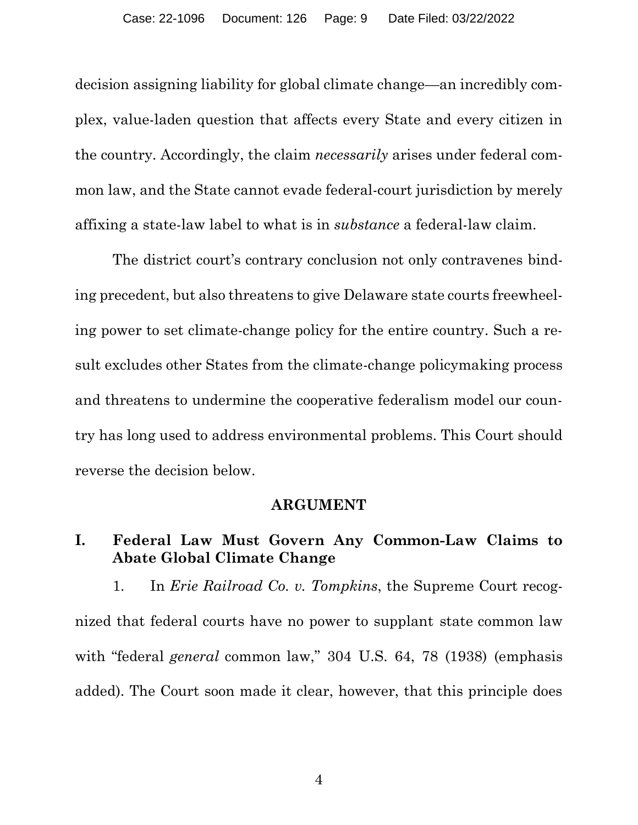decision assigning liability for global climate change—an incredibly complex, value-laden question that affects every State and every citizen in the country. Accordingly, the claim *necessarily* arises under federal common law, and the State cannot evade federal-court jurisdiction by merely affixing a state-law label to what is in *substance* a federal-law claim.

The district court's contrary conclusion not only contravenes binding precedent, but also threatens to give Delaware state courts freewheeling power to set climate-change policy for the entire country. Such a result excludes other States from the climate-change policymaking process and threatens to undermine the cooperative federalism model our country has long used to address environmental problems. This Court should reverse the decision below.

#### **ARGUMENT**

## **I. Federal Law Must Govern Any Common-Law Claims to Abate Global Climate Change**

<span id="page-8-0"></span>1. In *Erie Railroad Co. v. Tompkins*, the Supreme Court recognized that federal courts have no power to supplant state common law with "federal *general* common law," 304 U.S. 64, 78 (1938) (emphasis added). The Court soon made it clear, however, that this principle does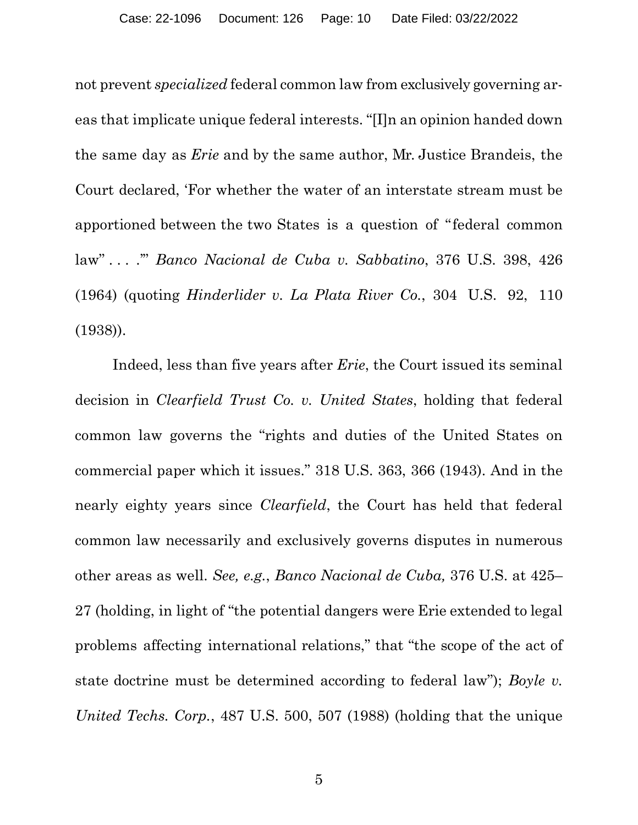not prevent *specialized* federal common law from exclusively governing areas that implicate unique federal interests. "[I]n an opinion handed down the same day as *Erie* and by the same author, Mr. Justice Brandeis, the Court declared, 'For whether the water of an interstate stream must be apportioned between the two States is a question of "federal common law" . . . .'" *Banco Nacional de Cuba v. Sabbatino*, 376 U.S. 398, 426 (1964) (quoting *Hinderlider v. La Plata River Co.*, 304 U.S. 92, 110 (1938)).

<span id="page-9-3"></span><span id="page-9-2"></span><span id="page-9-1"></span><span id="page-9-0"></span>Indeed, less than five years after *Erie*, the Court issued its seminal decision in *Clearfield Trust Co. v. United States*, holding that federal common law governs the "rights and duties of the United States on commercial paper which it issues." 318 U.S. 363, 366 (1943). And in the nearly eighty years since *Clearfield*, the Court has held that federal common law necessarily and exclusively governs disputes in numerous other areas as well. *See, e.g.*, *Banco Nacional de Cuba,* 376 U.S. at 425– 27 (holding, in light of "the potential dangers were Erie extended to legal problems affecting international relations," that "the scope of the act of state doctrine must be determined according to federal law"); *Boyle v. United Techs. Corp.*, 487 U.S. 500, 507 (1988) (holding that the unique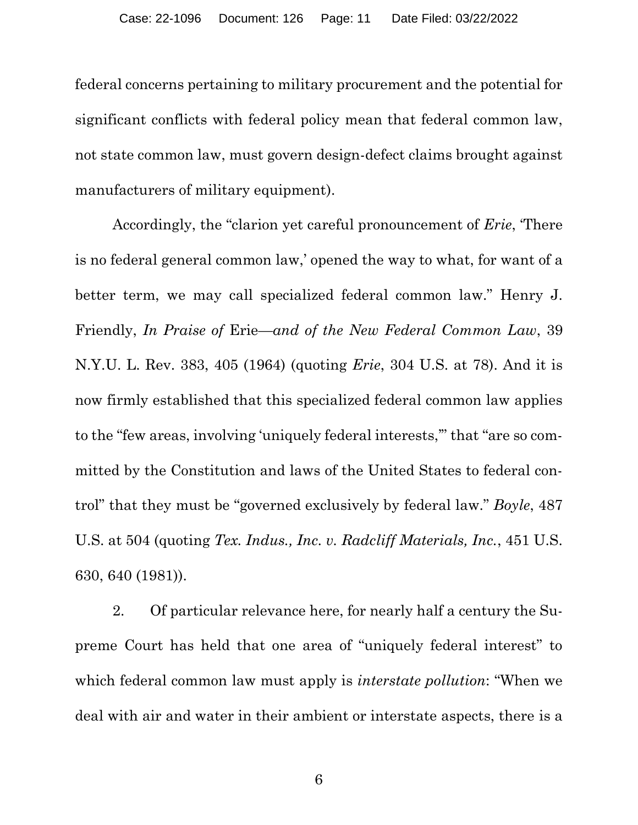federal concerns pertaining to military procurement and the potential for significant conflicts with federal policy mean that federal common law, not state common law, must govern design-defect claims brought against manufacturers of military equipment).

<span id="page-10-2"></span><span id="page-10-0"></span>Accordingly, the "clarion yet careful pronouncement of *Erie*, 'There is no federal general common law,' opened the way to what, for want of a better term, we may call specialized federal common law." Henry J. Friendly, *In Praise of* Erie*—and of the New Federal Common Law*, 39 N.Y.U. L. Rev. 383, 405 (1964) (quoting *Erie*, 304 U.S. at 78). And it is now firmly established that this specialized federal common law applies to the "few areas, involving 'uniquely federal interests,'" that "are so committed by the Constitution and laws of the United States to federal control" that they must be "governed exclusively by federal law." *Boyle*, 487 U.S. at 504 (quoting *Tex. Indus., Inc. v. Radcliff Materials, Inc.*, 451 U.S. 630, 640 (1981)).

<span id="page-10-1"></span>2. Of particular relevance here, for nearly half a century the Supreme Court has held that one area of "uniquely federal interest" to which federal common law must apply is *interstate pollution*: "When we deal with air and water in their ambient or interstate aspects, there is a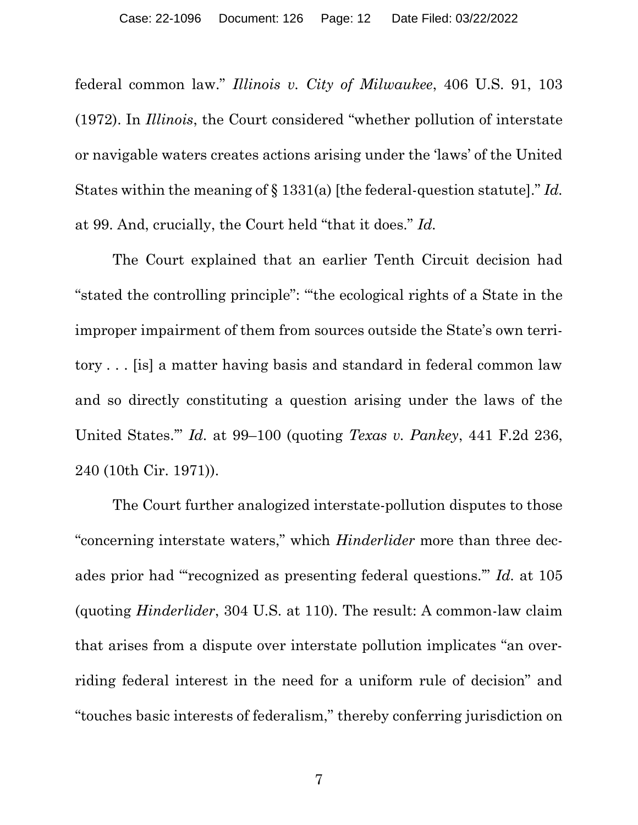federal common law." *Illinois v. City of Milwaukee*, 406 U.S. 91, 103 (1972). In *Illinois*, the Court considered "whether pollution of interstate or navigable waters creates actions arising under the 'laws' of the United States within the meaning of § 1331(a) [the federal-question statute]." *Id.* at 99. And, crucially, the Court held "that it does." *Id.*

The Court explained that an earlier Tenth Circuit decision had "stated the controlling principle": "'the ecological rights of a State in the improper impairment of them from sources outside the State's own territory . . . [is] a matter having basis and standard in federal common law and so directly constituting a question arising under the laws of the United States.'" *Id.* at 99–100 (quoting *Texas v. Pankey*, 441 F.2d 236, 240 (10th Cir. 1971)).

<span id="page-11-0"></span>The Court further analogized interstate-pollution disputes to those "concerning interstate waters," which *Hinderlider* more than three decades prior had "'recognized as presenting federal questions.'" *Id.* at 105 (quoting *Hinderlider*, 304 U.S. at 110). The result: A common-law claim that arises from a dispute over interstate pollution implicates "an overriding federal interest in the need for a uniform rule of decision" and "touches basic interests of federalism," thereby conferring jurisdiction on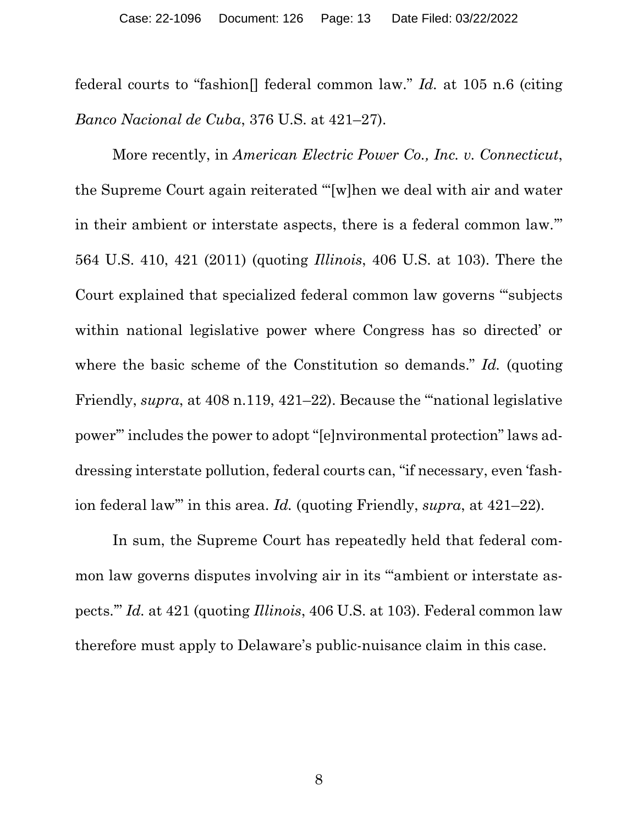<span id="page-12-1"></span>federal courts to "fashion[] federal common law." *Id.* at 105 n.6 (citing *Banco Nacional de Cuba*, 376 U.S. at 421–27).

<span id="page-12-0"></span>More recently, in *American Electric Power Co., Inc. v. Connecticut*, the Supreme Court again reiterated "'[w]hen we deal with air and water in their ambient or interstate aspects, there is a federal common law.'" 564 U.S. 410, 421 (2011) (quoting *Illinois*, 406 U.S. at 103). There the Court explained that specialized federal common law governs "'subjects within national legislative power where Congress has so directed' or where the basic scheme of the Constitution so demands." *Id.* (quoting Friendly, *supra*, at 408 n.119, 421–22). Because the "national legislative power'" includes the power to adopt "[e]nvironmental protection" laws addressing interstate pollution, federal courts can, "if necessary, even 'fashion federal law'" in this area. *Id.* (quoting Friendly, *supra*, at 421–22).

In sum, the Supreme Court has repeatedly held that federal common law governs disputes involving air in its "'ambient or interstate aspects.'" *Id.* at 421 (quoting *Illinois*, 406 U.S. at 103). Federal common law therefore must apply to Delaware's public-nuisance claim in this case.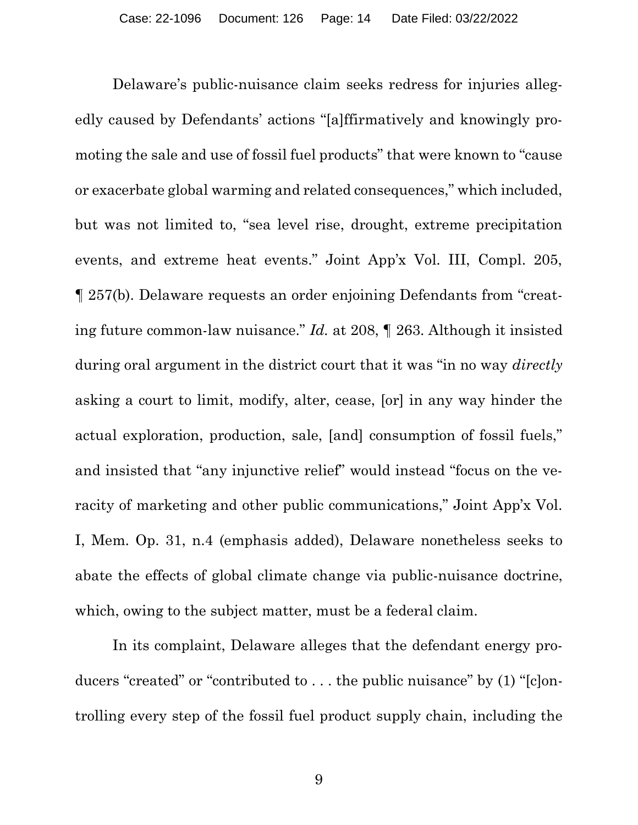Delaware's public-nuisance claim seeks redress for injuries allegedly caused by Defendants' actions "[a]ffirmatively and knowingly promoting the sale and use of fossil fuel products" that were known to "cause or exacerbate global warming and related consequences," which included, but was not limited to, "sea level rise, drought, extreme precipitation events, and extreme heat events." Joint App'x Vol. III, Compl. 205, ¶ 257(b). Delaware requests an order enjoining Defendants from "creating future common-law nuisance." *Id.* at 208, ¶ 263. Although it insisted during oral argument in the district court that it was "in no way *directly* asking a court to limit, modify, alter, cease, [or] in any way hinder the actual exploration, production, sale, [and] consumption of fossil fuels," and insisted that "any injunctive relief" would instead "focus on the veracity of marketing and other public communications," Joint App'x Vol. I, Mem. Op. 31, n.4 (emphasis added), Delaware nonetheless seeks to abate the effects of global climate change via public-nuisance doctrine, which, owing to the subject matter, must be a federal claim.

In its complaint, Delaware alleges that the defendant energy producers "created" or "contributed to . . . the public nuisance" by (1) "[c]ontrolling every step of the fossil fuel product supply chain, including the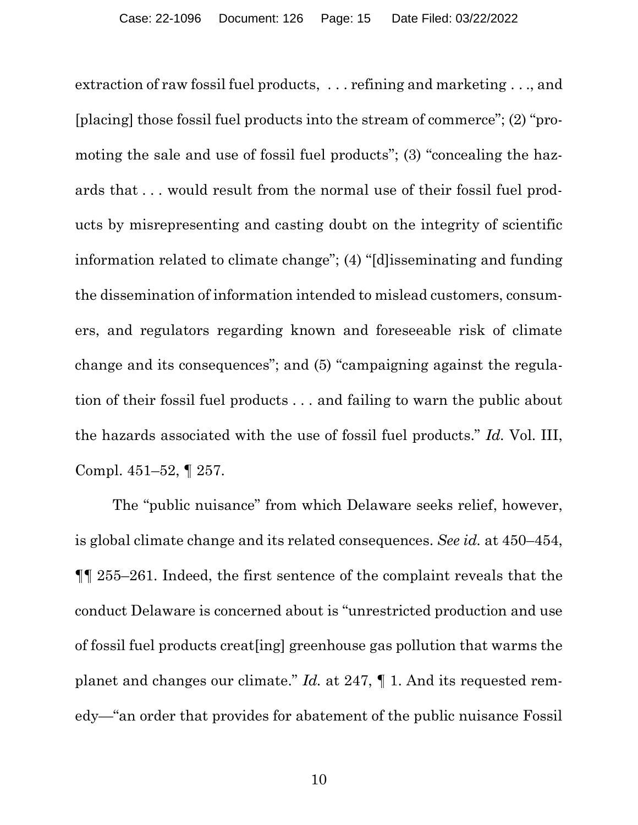extraction of raw fossil fuel products, . . . refining and marketing . . ., and [placing] those fossil fuel products into the stream of commerce"; (2) "promoting the sale and use of fossil fuel products"; (3) "concealing the hazards that . . . would result from the normal use of their fossil fuel products by misrepresenting and casting doubt on the integrity of scientific information related to climate change"; (4) "[d]isseminating and funding the dissemination of information intended to mislead customers, consumers, and regulators regarding known and foreseeable risk of climate change and its consequences"; and (5) "campaigning against the regulation of their fossil fuel products . . . and failing to warn the public about the hazards associated with the use of fossil fuel products." *Id.* Vol. III, Compl. 451–52, ¶ 257.

The "public nuisance" from which Delaware seeks relief, however, is global climate change and its related consequences. *See id.* at 450–454, ¶¶ 255–261. Indeed, the first sentence of the complaint reveals that the conduct Delaware is concerned about is "unrestricted production and use of fossil fuel products creat[ing] greenhouse gas pollution that warms the planet and changes our climate." *Id.* at 247, ¶ 1. And its requested remedy—"an order that provides for abatement of the public nuisance Fossil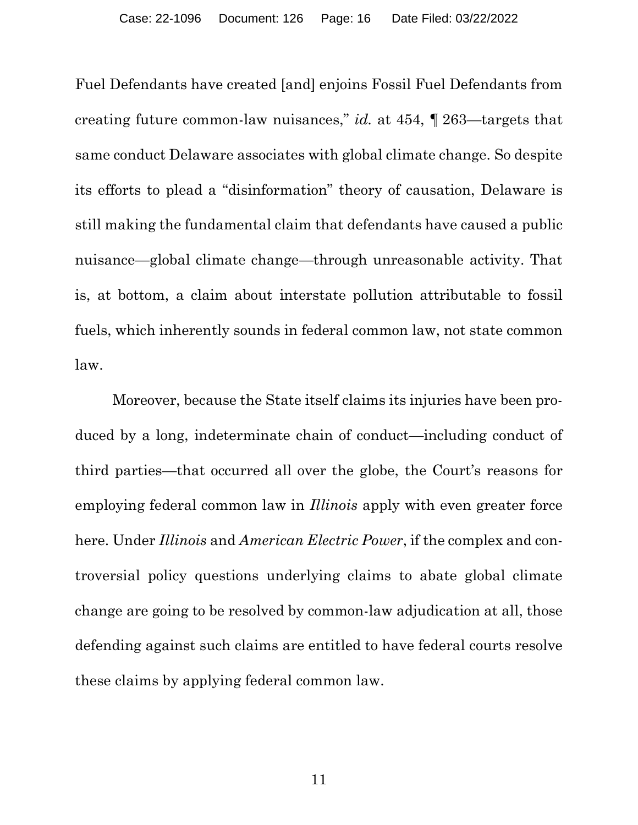Fuel Defendants have created [and] enjoins Fossil Fuel Defendants from creating future common-law nuisances," *id.* at 454, ¶ 263—targets that same conduct Delaware associates with global climate change. So despite its efforts to plead a "disinformation" theory of causation, Delaware is still making the fundamental claim that defendants have caused a public nuisance—global climate change—through unreasonable activity. That is, at bottom, a claim about interstate pollution attributable to fossil fuels, which inherently sounds in federal common law, not state common law.

Moreover, because the State itself claims its injuries have been produced by a long, indeterminate chain of conduct—including conduct of third parties—that occurred all over the globe, the Court's reasons for employing federal common law in *Illinois* apply with even greater force here. Under *Illinois* and *American Electric Power*, if the complex and controversial policy questions underlying claims to abate global climate change are going to be resolved by common-law adjudication at all, those defending against such claims are entitled to have federal courts resolve these claims by applying federal common law.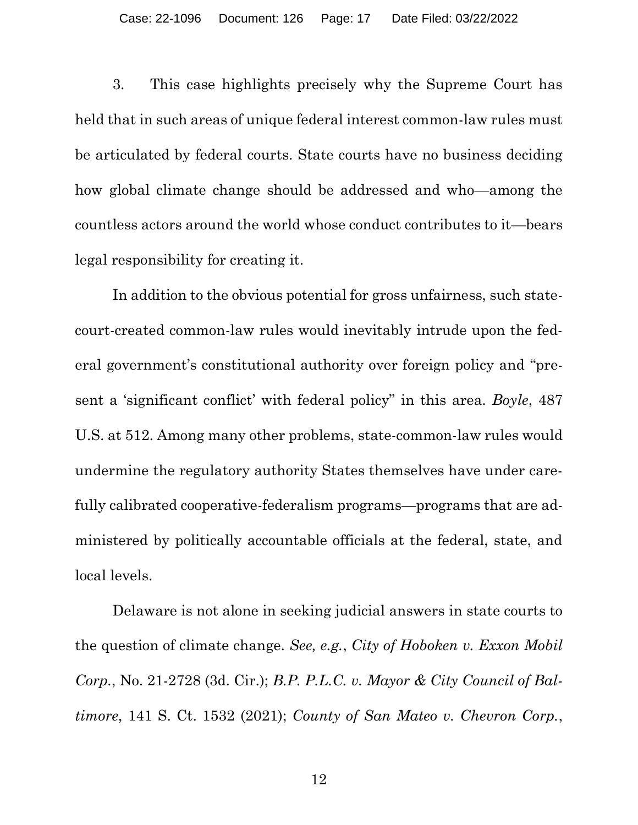3. This case highlights precisely why the Supreme Court has held that in such areas of unique federal interest common-law rules must be articulated by federal courts. State courts have no business deciding how global climate change should be addressed and who—among the countless actors around the world whose conduct contributes to it—bears legal responsibility for creating it.

In addition to the obvious potential for gross unfairness, such statecourt-created common-law rules would inevitably intrude upon the federal government's constitutional authority over foreign policy and "present a 'significant conflict' with federal policy" in this area. *Boyle*, 487 U.S. at 512. Among many other problems, state-common-law rules would undermine the regulatory authority States themselves have under carefully calibrated cooperative-federalism programs—programs that are administered by politically accountable officials at the federal, state, and local levels.

<span id="page-16-2"></span><span id="page-16-1"></span><span id="page-16-0"></span>Delaware is not alone in seeking judicial answers in state courts to the question of climate change. *See, e.g.*, *City of Hoboken v. Exxon Mobil Corp.*, No. 21-2728 (3d. Cir.); *B.P. P.L.C. v. Mayor & City Council of Baltimore*, 141 S. Ct. 1532 (2021); *County of San Mateo v. Chevron Corp.*,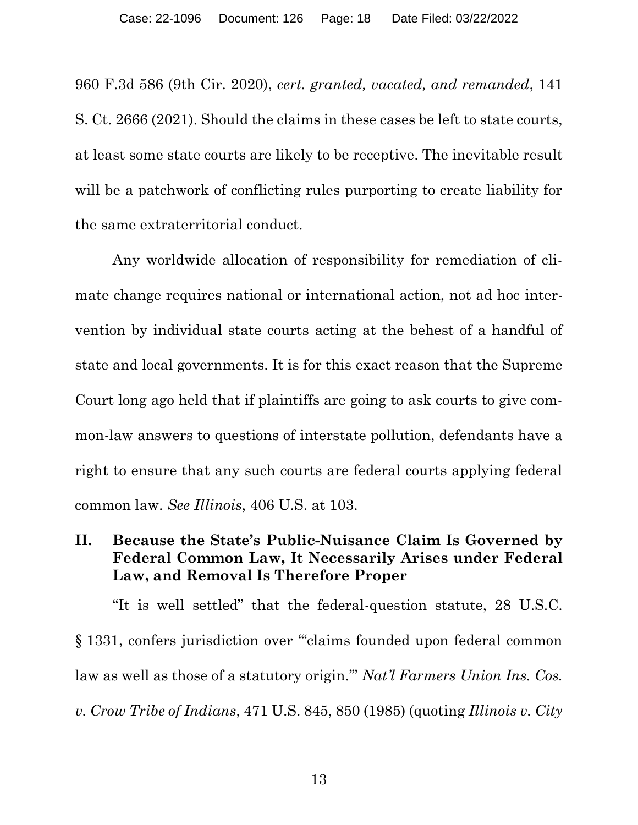960 F.3d 586 (9th Cir. 2020), *cert. granted, vacated, and remanded*, 141 S. Ct. 2666 (2021). Should the claims in these cases be left to state courts, at least some state courts are likely to be receptive. The inevitable result will be a patchwork of conflicting rules purporting to create liability for the same extraterritorial conduct.

Any worldwide allocation of responsibility for remediation of climate change requires national or international action, not ad hoc intervention by individual state courts acting at the behest of a handful of state and local governments. It is for this exact reason that the Supreme Court long ago held that if plaintiffs are going to ask courts to give common-law answers to questions of interstate pollution, defendants have a right to ensure that any such courts are federal courts applying federal common law. *See Illinois*, 406 U.S. at 103.

### **II. Because the State's Public-Nuisance Claim Is Governed by Federal Common Law, It Necessarily Arises under Federal Law, and Removal Is Therefore Proper**

<span id="page-17-1"></span><span id="page-17-0"></span>"It is well settled" that the federal-question statute, 28 U.S.C. § 1331, confers jurisdiction over "'claims founded upon federal common law as well as those of a statutory origin.'" *Nat'l Farmers Union Ins. Cos. v. Crow Tribe of Indians*, 471 U.S. 845, 850 (1985) (quoting *Illinois v. City*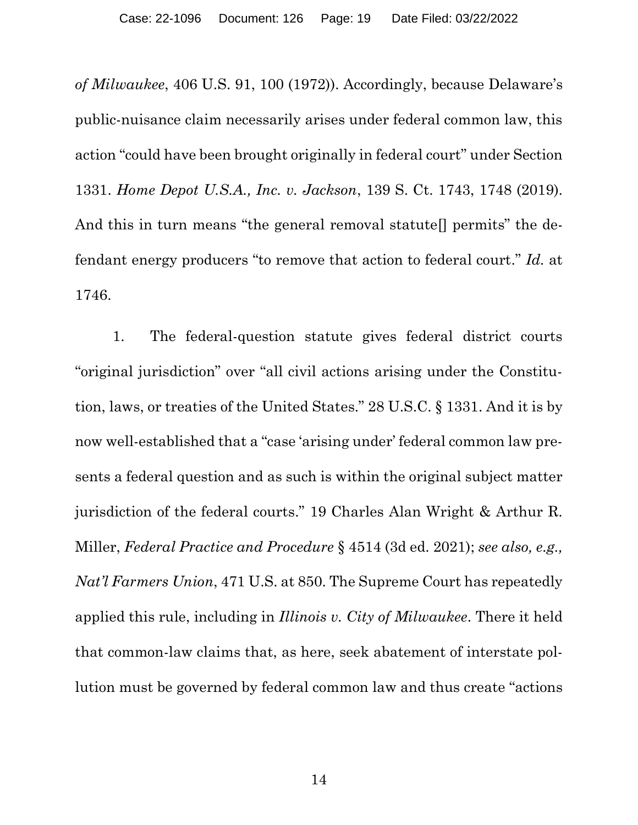<span id="page-18-0"></span>*of Milwaukee*, 406 U.S. 91, 100 (1972)). Accordingly, because Delaware's public-nuisance claim necessarily arises under federal common law, this action "could have been brought originally in federal court" under Section 1331. *Home Depot U.S.A., Inc. v. Jackson*, 139 S. Ct. 1743, 1748 (2019). And this in turn means "the general removal statute<sup>[]</sup> permits" the defendant energy producers "to remove that action to federal court." *Id.* at 1746.

<span id="page-18-3"></span><span id="page-18-2"></span><span id="page-18-1"></span>1. The federal-question statute gives federal district courts "original jurisdiction" over "all civil actions arising under the Constitution, laws, or treaties of the United States." 28 U.S.C. § 1331. And it is by now well-established that a "case 'arising under' federal common law presents a federal question and as such is within the original subject matter jurisdiction of the federal courts." 19 Charles Alan Wright & Arthur R. Miller, *Federal Practice and Procedure* § 4514 (3d ed. 2021); *see also, e.g., Nat'l Farmers Union*, 471 U.S. at 850. The Supreme Court has repeatedly applied this rule, including in *Illinois v. City of Milwaukee*. There it held that common-law claims that, as here, seek abatement of interstate pollution must be governed by federal common law and thus create "actions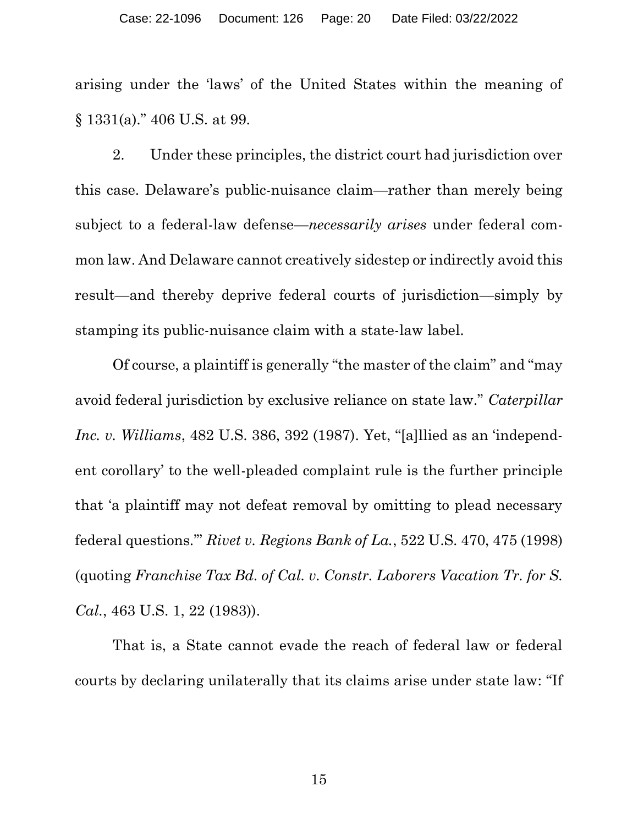arising under the 'laws' of the United States within the meaning of § 1331(a)." 406 U.S. at 99.

2. Under these principles, the district court had jurisdiction over this case. Delaware's public-nuisance claim—rather than merely being subject to a federal-law defense—*necessarily arises* under federal common law. And Delaware cannot creatively sidestep or indirectly avoid this result—and thereby deprive federal courts of jurisdiction—simply by stamping its public-nuisance claim with a state-law label.

<span id="page-19-0"></span>Of course, a plaintiff is generally "the master of the claim" and "may avoid federal jurisdiction by exclusive reliance on state law." *Caterpillar Inc. v. Williams*, 482 U.S. 386, 392 (1987). Yet, "[a]llied as an 'independent corollary' to the well-pleaded complaint rule is the further principle that 'a plaintiff may not defeat removal by omitting to plead necessary federal questions.'" *Rivet v. Regions Bank of La.*, 522 U.S. 470, 475 (1998) (quoting *Franchise Tax Bd. of Cal. v. Constr. Laborers Vacation Tr. for S. Cal.*, 463 U.S. 1, 22 (1983)).

<span id="page-19-2"></span><span id="page-19-1"></span>That is, a State cannot evade the reach of federal law or federal courts by declaring unilaterally that its claims arise under state law: "If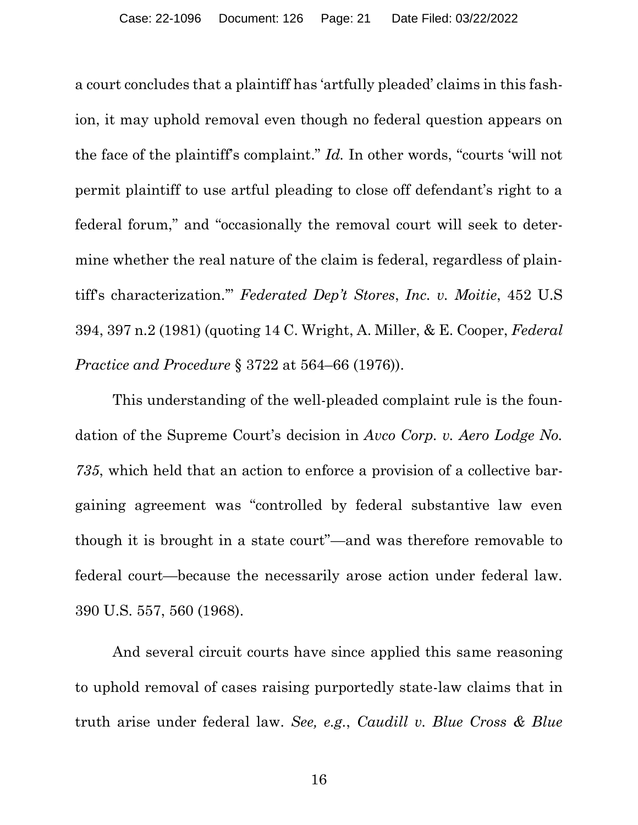a court concludes that a plaintiff has 'artfully pleaded' claims in this fashion, it may uphold removal even though no federal question appears on the face of the plaintiff's complaint." *Id.* In other words, "courts 'will not permit plaintiff to use artful pleading to close off defendant's right to a federal forum," and "occasionally the removal court will seek to determine whether the real nature of the claim is federal, regardless of plaintiff's characterization.'" *Federated Dep't Stores*, *Inc. v. Moitie*, 452 U.S 394, 397 n.2 (1981) (quoting 14 C. Wright, A. Miller, & E. Cooper, *Federal Practice and Procedure* § 3722 at 564–66 (1976)).

<span id="page-20-2"></span><span id="page-20-0"></span>This understanding of the well-pleaded complaint rule is the foundation of the Supreme Court's decision in *Avco Corp. v. Aero Lodge No. 735*, which held that an action to enforce a provision of a collective bargaining agreement was "controlled by federal substantive law even though it is brought in a state court"—and was therefore removable to federal court—because the necessarily arose action under federal law. 390 U.S. 557, 560 (1968).

<span id="page-20-1"></span>And several circuit courts have since applied this same reasoning to uphold removal of cases raising purportedly state-law claims that in truth arise under federal law. *See, e.g.*, *Caudill v. Blue Cross & Blue*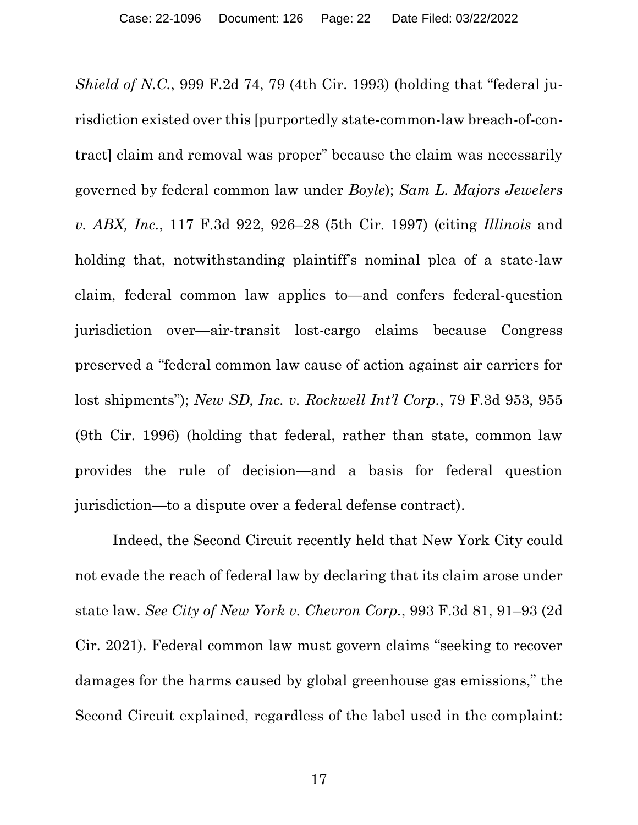<span id="page-21-2"></span>*Shield of N.C.*, 999 F.2d 74, 79 (4th Cir. 1993) (holding that "federal jurisdiction existed over this [purportedly state-common-law breach-of-contract] claim and removal was proper" because the claim was necessarily governed by federal common law under *Boyle*); *Sam L. Majors Jewelers v. ABX, Inc.*, 117 F.3d 922, 926–28 (5th Cir. 1997) (citing *Illinois* and holding that, notwithstanding plaintiff's nominal plea of a state-law claim, federal common law applies to—and confers federal-question jurisdiction over—air-transit lost-cargo claims because Congress preserved a "federal common law cause of action against air carriers for lost shipments"); *New SD, Inc. v. Rockwell Int'l Corp.*, 79 F.3d 953, 955 (9th Cir. 1996) (holding that federal, rather than state, common law provides the rule of decision—and a basis for federal question jurisdiction—to a dispute over a federal defense contract).

<span id="page-21-1"></span><span id="page-21-0"></span>Indeed, the Second Circuit recently held that New York City could not evade the reach of federal law by declaring that its claim arose under state law. *See City of New York v. Chevron Corp.*, 993 F.3d 81, 91–93 (2d Cir. 2021). Federal common law must govern claims "seeking to recover damages for the harms caused by global greenhouse gas emissions," the Second Circuit explained, regardless of the label used in the complaint: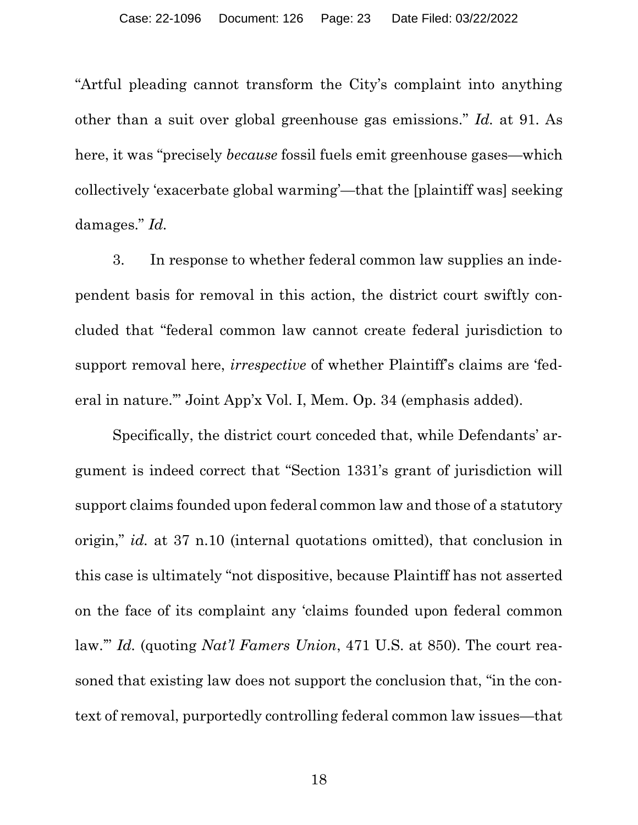"Artful pleading cannot transform the City's complaint into anything other than a suit over global greenhouse gas emissions." *Id.* at 91. As here, it was "precisely *because* fossil fuels emit greenhouse gases—which collectively 'exacerbate global warming'—that the [plaintiff was] seeking damages." *Id.*

<span id="page-22-0"></span>3. In response to whether federal common law supplies an independent basis for removal in this action, the district court swiftly concluded that "federal common law cannot create federal jurisdiction to support removal here, *irrespective* of whether Plaintiff's claims are 'federal in nature.'" Joint App'x Vol. I, Mem. Op. 34 (emphasis added).

<span id="page-22-1"></span>Specifically, the district court conceded that, while Defendants' argument is indeed correct that "Section 1331's grant of jurisdiction will support claims founded upon federal common law and those of a statutory origin," *id.* at 37 n.10 (internal quotations omitted), that conclusion in this case is ultimately "not dispositive, because Plaintiff has not asserted on the face of its complaint any 'claims founded upon federal common law.'" *Id.* (quoting *Nat'l Famers Union*, 471 U.S. at 850). The court reasoned that existing law does not support the conclusion that, "in the context of removal, purportedly controlling federal common law issues—that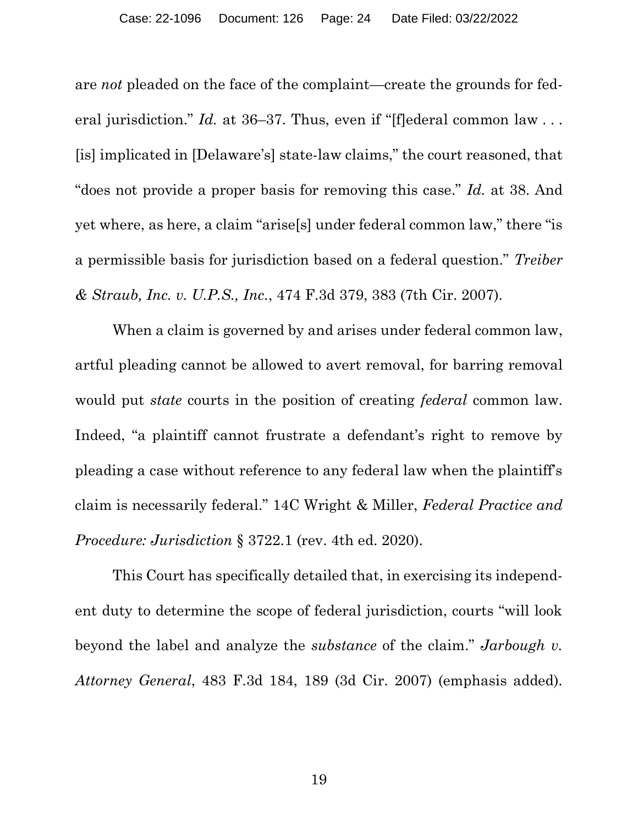are *not* pleaded on the face of the complaint—create the grounds for federal jurisdiction." *Id.* at 36–37. Thus, even if "[f]ederal common law ... [is] implicated in [Delaware's] state-law claims," the court reasoned, that "does not provide a proper basis for removing this case." *Id.* at 38. And yet where, as here, a claim "arise[s] under federal common law," there "is a permissible basis for jurisdiction based on a federal question." *Treiber & Straub, Inc. v. U.P.S., Inc.*, 474 F.3d 379, 383 (7th Cir. 2007).

<span id="page-23-1"></span>When a claim is governed by and arises under federal common law, artful pleading cannot be allowed to avert removal, for barring removal would put *state* courts in the position of creating *federal* common law. Indeed, "a plaintiff cannot frustrate a defendant's right to remove by pleading a case without reference to any federal law when the plaintiff's claim is necessarily federal." 14C Wright & Miller, *Federal Practice and Procedure: Jurisdiction* § 3722.1 (rev. 4th ed. 2020).

<span id="page-23-2"></span><span id="page-23-0"></span>This Court has specifically detailed that, in exercising its independent duty to determine the scope of federal jurisdiction, courts "will look beyond the label and analyze the *substance* of the claim." *Jarbough v. Attorney General*, 483 F.3d 184, 189 (3d Cir. 2007) (emphasis added).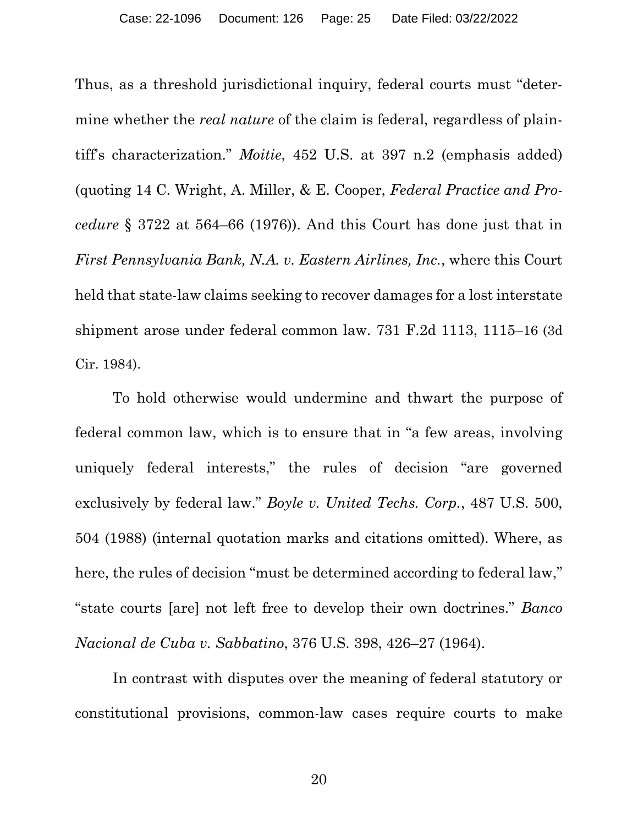<span id="page-24-1"></span>Thus, as a threshold jurisdictional inquiry, federal courts must "determine whether the *real nature* of the claim is federal, regardless of plaintiff's characterization." *Moitie*, 452 U.S. at 397 n.2 (emphasis added) (quoting 14 C. Wright, A. Miller, & E. Cooper, *Federal Practice and Procedure* § 3722 at 564–66 (1976)). And this Court has done just that in *First Pennsylvania Bank, N.A. v. Eastern Airlines, Inc.*, where this Court held that state-law claims seeking to recover damages for a lost interstate shipment arose under federal common law. 731 F.2d 1113, 1115–16 (3d Cir. 1984).

<span id="page-24-2"></span>To hold otherwise would undermine and thwart the purpose of federal common law, which is to ensure that in "a few areas, involving uniquely federal interests," the rules of decision "are governed exclusively by federal law." *Boyle v. United Techs. Corp.*, 487 U.S. 500, 504 (1988) (internal quotation marks and citations omitted). Where, as here, the rules of decision "must be determined according to federal law," "state courts [are] not left free to develop their own doctrines." *Banco Nacional de Cuba v. Sabbatino*, 376 U.S. 398, 426–27 (1964).

<span id="page-24-0"></span>In contrast with disputes over the meaning of federal statutory or constitutional provisions, common-law cases require courts to make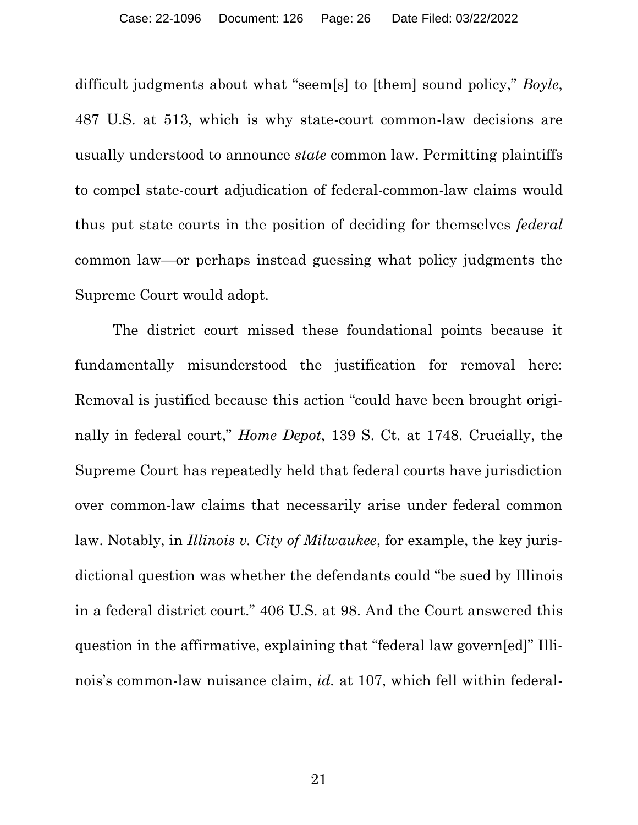difficult judgments about what "seem[s] to [them] sound policy," *Boyle*, 487 U.S. at 513, which is why state-court common-law decisions are usually understood to announce *state* common law. Permitting plaintiffs to compel state-court adjudication of federal-common-law claims would thus put state courts in the position of deciding for themselves *federal* common law—or perhaps instead guessing what policy judgments the Supreme Court would adopt.

<span id="page-25-0"></span>The district court missed these foundational points because it fundamentally misunderstood the justification for removal here: Removal is justified because this action "could have been brought originally in federal court," *Home Depot*, 139 S. Ct. at 1748. Crucially, the Supreme Court has repeatedly held that federal courts have jurisdiction over common-law claims that necessarily arise under federal common law. Notably, in *Illinois v. City of Milwaukee*, for example, the key jurisdictional question was whether the defendants could "be sued by Illinois in a federal district court." 406 U.S. at 98. And the Court answered this question in the affirmative, explaining that "federal law govern[ed]" Illinois's common-law nuisance claim, *id.* at 107, which fell within federal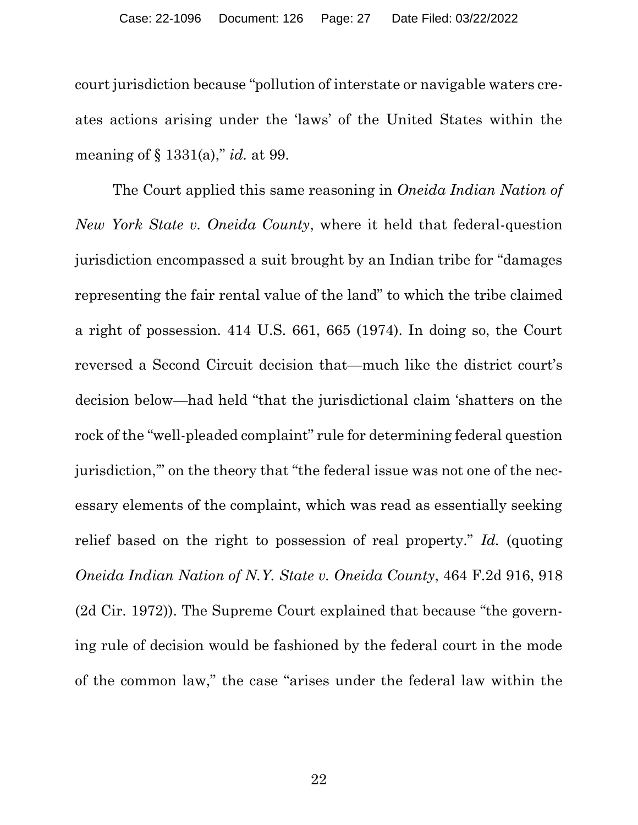court jurisdiction because "pollution of interstate or navigable waters creates actions arising under the 'laws' of the United States within the meaning of § 1331(a)," *id.* at 99.

<span id="page-26-1"></span><span id="page-26-0"></span>The Court applied this same reasoning in *Oneida Indian Nation of New York State v. Oneida County*, where it held that federal-question jurisdiction encompassed a suit brought by an Indian tribe for "damages representing the fair rental value of the land" to which the tribe claimed a right of possession. 414 U.S. 661, 665 (1974). In doing so, the Court reversed a Second Circuit decision that—much like the district court's decision below—had held "that the jurisdictional claim 'shatters on the rock of the "well-pleaded complaint" rule for determining federal question jurisdiction,'" on the theory that "the federal issue was not one of the necessary elements of the complaint, which was read as essentially seeking relief based on the right to possession of real property." *Id.* (quoting *Oneida Indian Nation of N.Y. State v. Oneida County*, 464 F.2d 916, 918 (2d Cir. 1972)). The Supreme Court explained that because "the governing rule of decision would be fashioned by the federal court in the mode of the common law," the case "arises under the federal law within the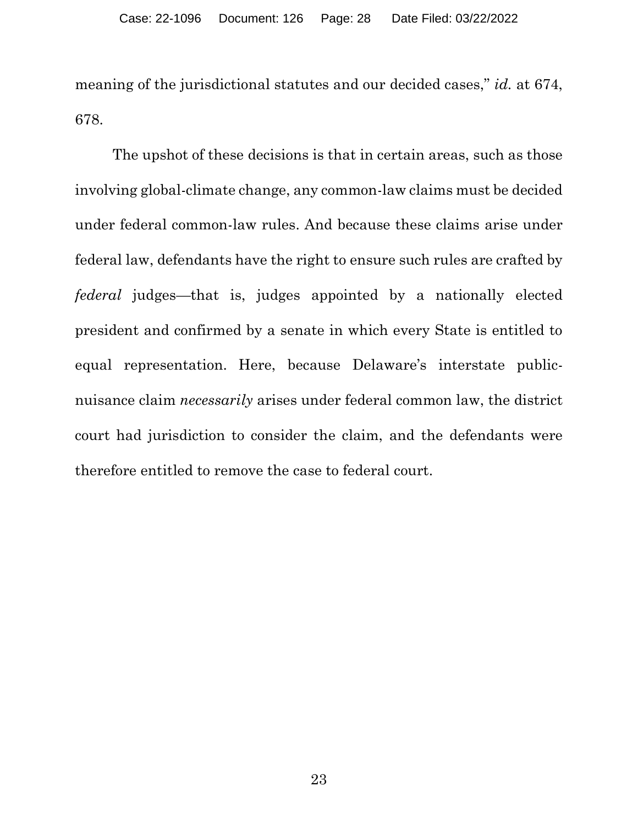meaning of the jurisdictional statutes and our decided cases," *id.* at 674, 678.

The upshot of these decisions is that in certain areas, such as those involving global-climate change, any common-law claims must be decided under federal common-law rules. And because these claims arise under federal law, defendants have the right to ensure such rules are crafted by *federal* judges—that is, judges appointed by a nationally elected president and confirmed by a senate in which every State is entitled to equal representation. Here, because Delaware's interstate publicnuisance claim *necessarily* arises under federal common law, the district court had jurisdiction to consider the claim, and the defendants were therefore entitled to remove the case to federal court.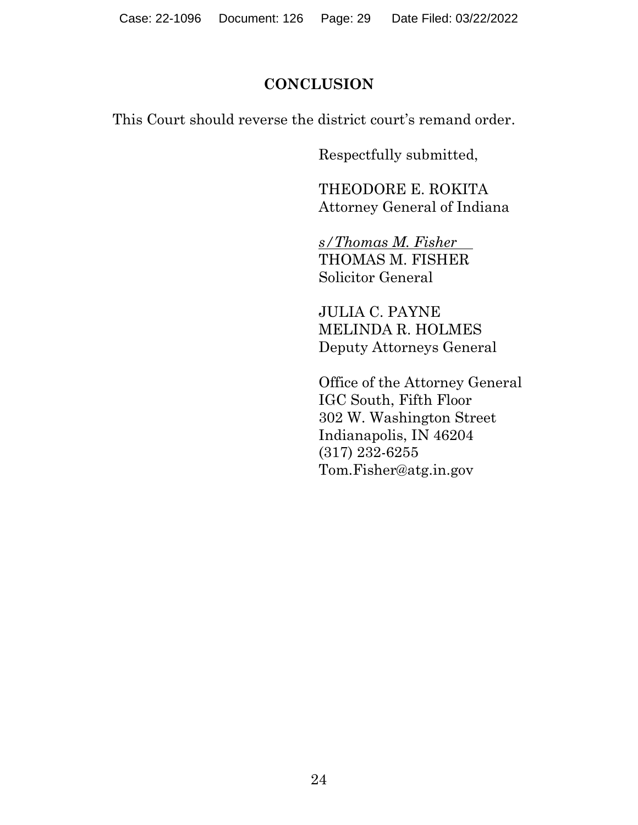## **CONCLUSION**

This Court should reverse the district court's remand order.

Respectfully submitted,

THEODORE E. ROKITA Attorney General of Indiana

*s/Thomas M. Fisher* THOMAS M. FISHER Solicitor General

JULIA C. PAYNE MELINDA R. HOLMES Deputy Attorneys General

Office of the Attorney General IGC South, Fifth Floor 302 W. Washington Street Indianapolis, IN 46204 (317) 232-6255 Tom.Fisher@atg.in.gov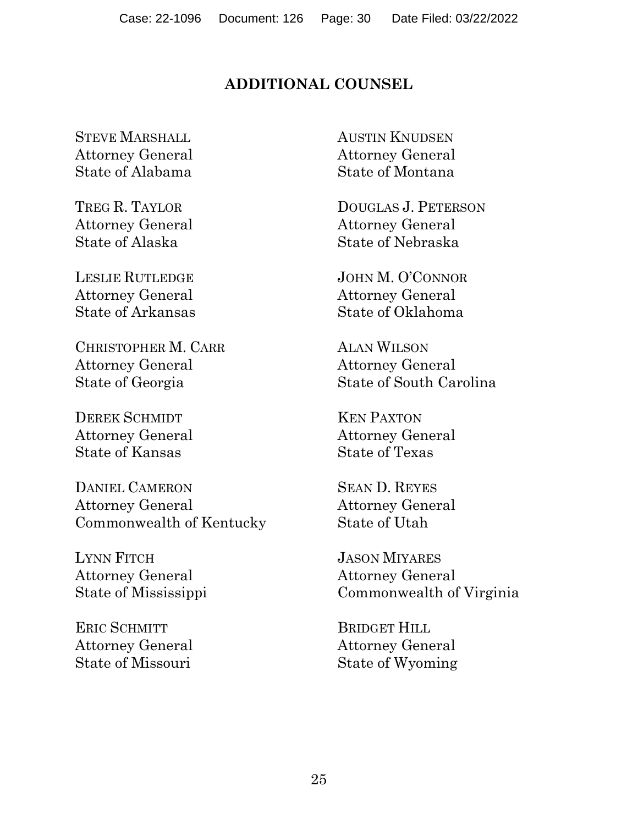## **ADDITIONAL COUNSEL**

STEVE MARSHALL Attorney General State of Alabama

TREG R. TAYLOR Attorney General State of Alaska

LESLIE RUTLEDGE Attorney General State of Arkansas

CHRISTOPHER M. CARR Attorney General State of Georgia

DEREK SCHMIDT Attorney General State of Kansas

DANIEL CAMERON Attorney General Commonwealth of Kentucky

LYNN FITCH Attorney General State of Mississippi

ERIC SCHMITT Attorney General State of Missouri

AUSTIN KNUDSEN Attorney General State of Montana

DOUGLAS J. PETERSON Attorney General State of Nebraska

JOHN M. O'CONNOR Attorney General State of Oklahoma

ALAN WILSON Attorney General State of South Carolina

KEN PAXTON Attorney General State of Texas

SEAN D. REYES Attorney General State of Utah

JASON MIYARES Attorney General Commonwealth of Virginia

BRIDGET HILL Attorney General State of Wyoming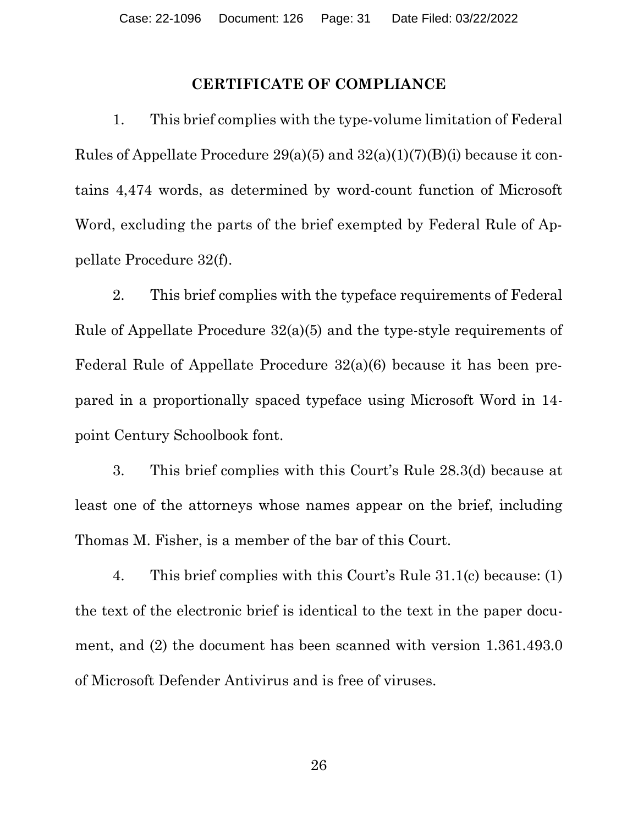#### **CERTIFICATE OF COMPLIANCE**

1. This brief complies with the type-volume limitation of Federal Rules of Appellate Procedure  $29(a)(5)$  and  $32(a)(1)(7)(B)(i)$  because it contains 4,474 words, as determined by word-count function of Microsoft Word, excluding the parts of the brief exempted by Federal Rule of Appellate Procedure 32(f).

2. This brief complies with the typeface requirements of Federal Rule of Appellate Procedure 32(a)(5) and the type-style requirements of Federal Rule of Appellate Procedure 32(a)(6) because it has been prepared in a proportionally spaced typeface using Microsoft Word in 14 point Century Schoolbook font.

3. This brief complies with this Court's Rule 28.3(d) because at least one of the attorneys whose names appear on the brief, including Thomas M. Fisher, is a member of the bar of this Court.

4. This brief complies with this Court's Rule 31.1(c) because: (1) the text of the electronic brief is identical to the text in the paper document, and (2) the document has been scanned with version 1.361.493.0 of Microsoft Defender Antivirus and is free of viruses.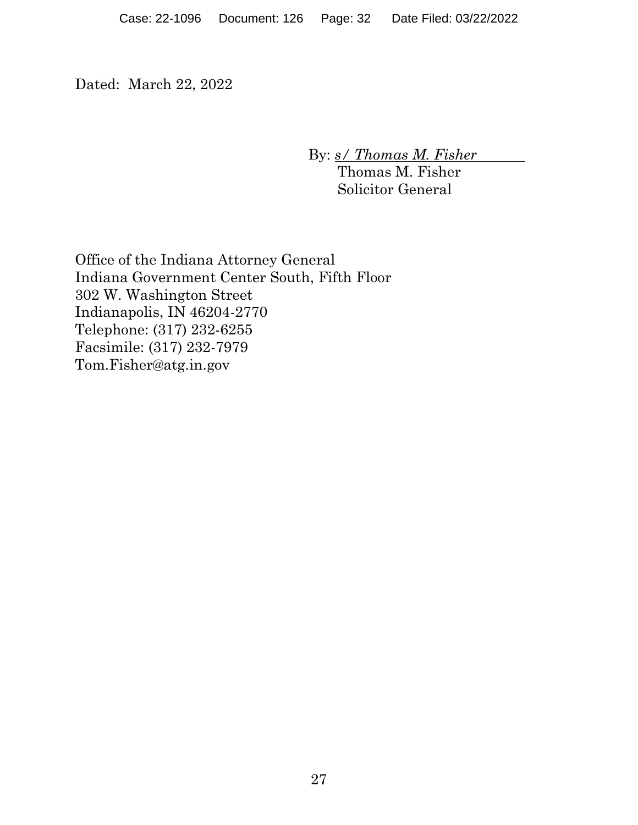Dated: March 22, 2022

By: *s/ Thomas M. Fisher*

Thomas M. Fisher Solicitor General

Office of the Indiana Attorney General Indiana Government Center South, Fifth Floor 302 W. Washington Street Indianapolis, IN 46204-2770 Telephone: (317) 232-6255 Facsimile: (317) 232-7979 Tom.Fisher@atg.in.gov